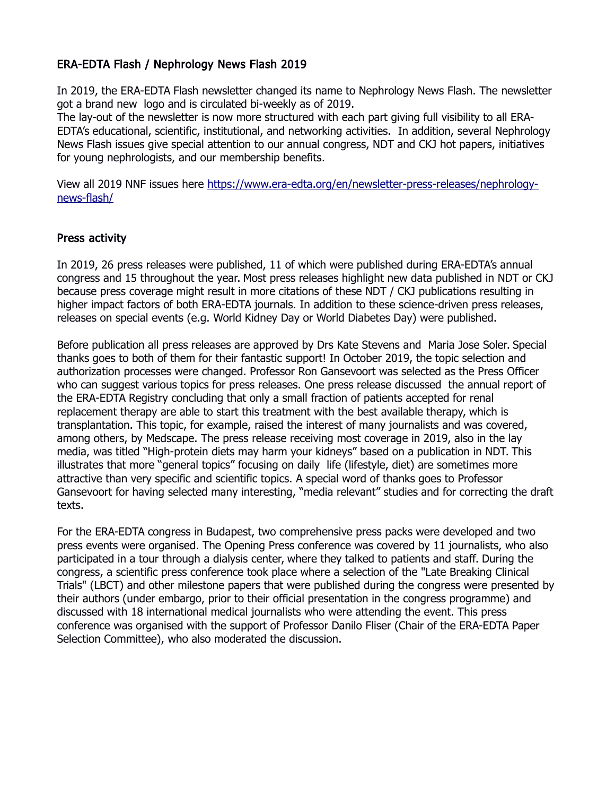## ERA-EDTA Flash / Nephrology News Flash 2019

In 2019, the ERA-EDTA Flash newsletter changed its name to Nephrology News Flash. The newsletter got a brand new logo and is circulated bi-weekly as of 2019.

The lay-out of the newsletter is now more structured with each part giving full visibility to all ERA-EDTA's educational, scientific, institutional, and networking activities. In addition, several Nephrology News Flash issues give special attention to our annual congress, NDT and CKJ hot papers, initiatives for young nephrologists, and our membership benefits.

View all 2019 NNF issues here [https://www.era-edta.org/en/newsletter-press-releases/nephrology](https://www.era-edta.org/en/newsletter-press-releases/nephrology-news-flash/)[news-flash/](https://www.era-edta.org/en/newsletter-press-releases/nephrology-news-flash/)

## Press activity

In 2019, 26 press releases were published, 11 of which were published during ERA-EDTA's annual congress and 15 throughout the year. Most press releases highlight new data published in NDT or CKJ because press coverage might result in more citations of these NDT / CKJ publications resulting in higher impact factors of both ERA-EDTA journals. In addition to these science-driven press releases, releases on special events (e.g. World Kidney Day or World Diabetes Day) were published.

Before publication all press releases are approved by Drs Kate Stevens and Maria Jose Soler. Special thanks goes to both of them for their fantastic support! In October 2019, the topic selection and authorization processes were changed. Professor Ron Gansevoort was selected as the Press Officer who can suggest various topics for press releases. One press release discussed the annual report of the ERA-EDTA Registry concluding that only a small fraction of patients accepted for renal replacement therapy are able to start this treatment with the best available therapy, which is transplantation. This topic, for example, raised the interest of many journalists and was covered, among others, by Medscape. The press release receiving most coverage in 2019, also in the lay media, was titled "High-protein diets may harm your kidneys" based on a publication in NDT. This illustrates that more "general topics" focusing on daily life (lifestyle, diet) are sometimes more attractive than very specific and scientific topics. A special word of thanks goes to Professor Gansevoort for having selected many interesting, "media relevant" studies and for correcting the draft texts.

For the ERA-EDTA congress in Budapest, two comprehensive press packs were developed and two press events were organised. The Opening Press conference was covered by 11 journalists, who also participated in a tour through a dialysis center, where they talked to patients and staff. During the congress, a scientific press conference took place where a selection of the "Late Breaking Clinical Trials" (LBCT) and other milestone papers that were published during the congress were presented by their authors (under embargo, prior to their official presentation in the congress programme) and discussed with 18 international medical journalists who were attending the event. This press conference was organised with the support of Professor Danilo Fliser (Chair of the ERA-EDTA Paper Selection Committee), who also moderated the discussion.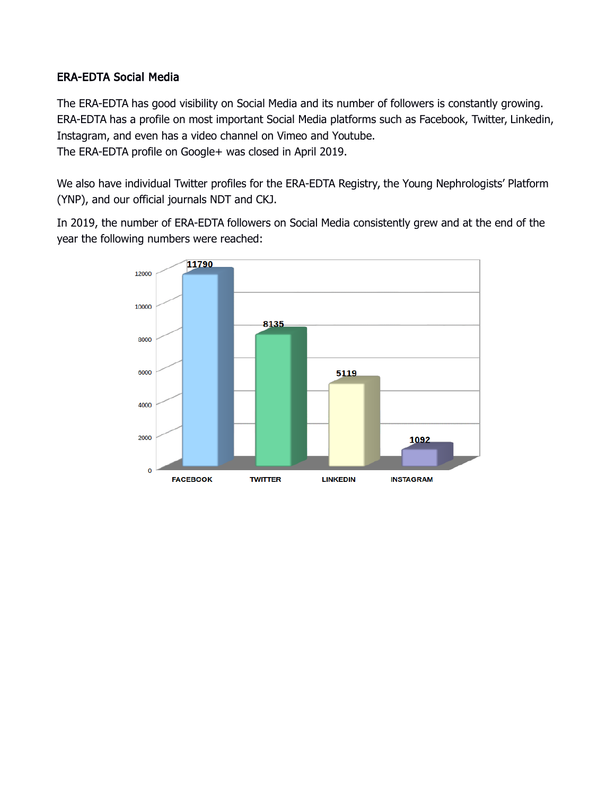## ERA-EDTA Social Media

The ERA-EDTA has good visibility on Social Media and its number of followers is constantly growing. ERA-EDTA has a profile on most important Social Media platforms such as Facebook, Twitter, Linkedin, Instagram, and even has a video channel on Vimeo and Youtube. The ERA-EDTA profile on Google+ was closed in April 2019.

We also have individual Twitter profiles for the ERA-EDTA Registry, the Young Nephrologists' Platform (YNP), and our official journals NDT and CKJ.

In 2019, the number of ERA-EDTA followers on Social Media consistently grew and at the end of the year the following numbers were reached:

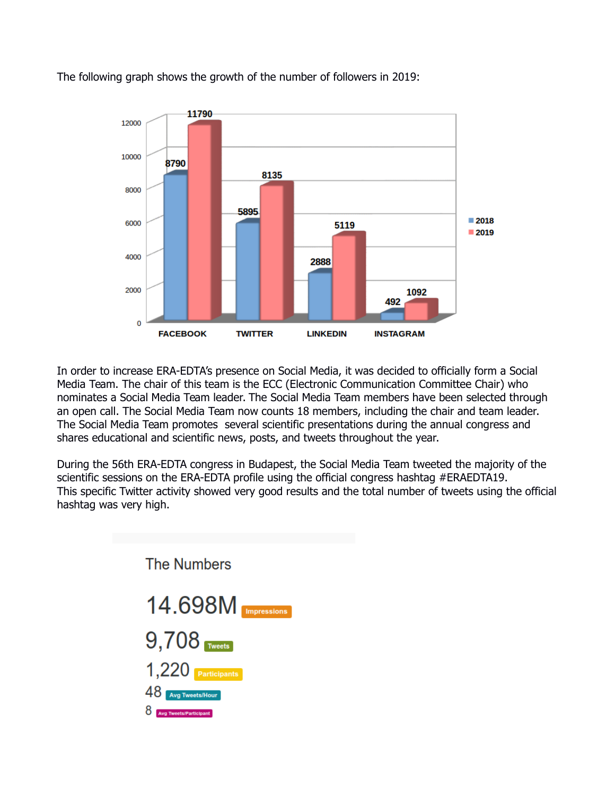

The following graph shows the growth of the number of followers in 2019:

In order to increase ERA-EDTA's presence on Social Media, it was decided to officially form a Social Media Team. The chair of this team is the ECC (Electronic Communication Committee Chair) who nominates a Social Media Team leader. The Social Media Team members have been selected through an open call. The Social Media Team now counts 18 members, including the chair and team leader. The Social Media Team promotes several scientific presentations during the annual congress and shares educational and scientific news, posts, and tweets throughout the year.

During the 56th ERA-EDTA congress in Budapest, the Social Media Team tweeted the majority of the scientific sessions on the ERA-EDTA profile using the official congress hashtag #ERAEDTA19. This specific Twitter activity showed very good results and the total number of tweets using the official hashtag was very high.